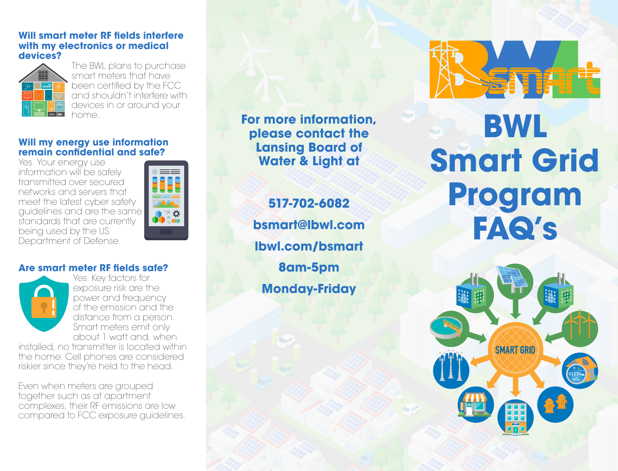#### **Will smart meter RF fields interfere with my electronics or medical devices?**



The BWL plans to purchase smart meters that have been certified by the FCC and shouldn't interfere with devices in or around your home.

#### **Will my energy use information remain confidential and safe?**

Yes. Your energy use information will be safely transmitted over secured networks and servers that meet the latest cyber safety guidelines and are the same standards that are currently being used by the US Department of Defense.



# **Are smart meter RF fields safe?**



Yes. Key factors for exposure risk are the power and frequency of the emission and the distance from a person. Smart meters emit only about 1 watt and, when

installed, no transmitter is located within the home. Cell phones are considered riskier since they're held to the head.

Even when meters are grouped together such as at apartment complexes, their RF emissions are low compared to FCC exposure guidelines. **For more information, please contact the Lansing Board of Water & Light at**

**517-702-6082 bsmart@lbwl.com lbwl.com/bsmart 8am-5pm Monday-Friday**



# **BWL Smart Grid Program FAQ's**